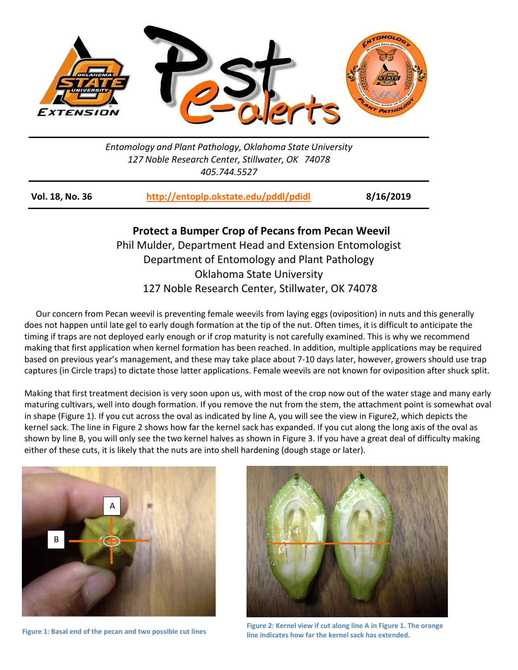

## *Entomology and Plant Pathology, Oklahoma State University 127 Noble Research Center, Stillwater, OK 74078 405.744.5527*

| <b>Vol. 18, No. 36</b> | http://entoplp.okstate.edu/pddl/pdidl | 8/16/2019 |
|------------------------|---------------------------------------|-----------|
|------------------------|---------------------------------------|-----------|

## **Protect a Bumper Crop of Pecans from Pecan Weevil** Phil Mulder, Department Head and Extension Entomologist Department of Entomology and Plant Pathology Oklahoma State University 127 Noble Research Center, Stillwater, OK 74078

 Our concern from Pecan weevil is preventing female weevils from laying eggs (oviposition) in nuts and this generally does not happen until late gel to early dough formation at the tip of the nut. Often times, it is difficult to anticipate the timing if traps are not deployed early enough or if crop maturity is not carefully examined. This is why we recommend making that first application when kernel formation has been reached. In addition, multiple applications may be required based on previous year's management, and these may take place about 7-10 days later, however, growers should use trap captures (in Circle traps) to dictate those latter applications. Female weevils are not known for oviposition after shuck split.

Making that first treatment decision is very soon upon us, with most of the crop now out of the water stage and many early maturing cultivars, well into dough formation. If you remove the nut from the stem, the attachment point is somewhat oval in shape (Figure 1). If you cut across the oval as indicated by line A, you will see the view in Figure2, which depicts the kernel sack. The line in Figure 2 shows how far the kernel sack has expanded. If you cut along the long axis of the oval as shown by line B, you will only see the two kernel halves as shown in Figure 3. If you have a great deal of difficulty making either of these cuts, it is likely that the nuts are into shell hardening (dough stage or later).



**Figure 1: Basal end of the pecan and two possible cut lines**



**Figure 2: Kernel view if cut along line A in Figure 1. The orange line indicates how far the kernel sack has extended.**